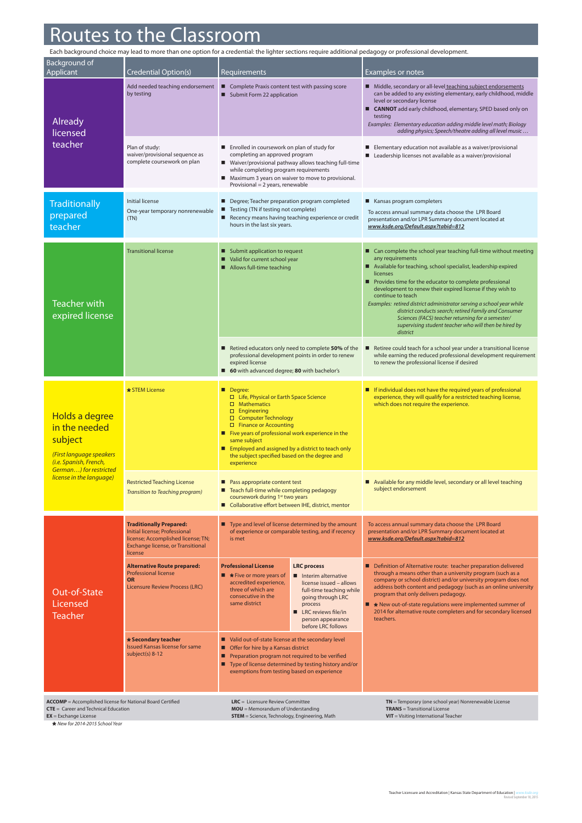## Routes to the Classroom

| Each background choice may lead to more than one option for a credential: the lighter sections require additional pedagogy or professional development. |                                                                                                                                                       |                                                                                                                                                                                                                                                                                                                                                                              |                                                                                                                                                                                                                                                                                                                                                                                                                                                                                                                                                                           |  |  |  |  |
|---------------------------------------------------------------------------------------------------------------------------------------------------------|-------------------------------------------------------------------------------------------------------------------------------------------------------|------------------------------------------------------------------------------------------------------------------------------------------------------------------------------------------------------------------------------------------------------------------------------------------------------------------------------------------------------------------------------|---------------------------------------------------------------------------------------------------------------------------------------------------------------------------------------------------------------------------------------------------------------------------------------------------------------------------------------------------------------------------------------------------------------------------------------------------------------------------------------------------------------------------------------------------------------------------|--|--|--|--|
| Background of<br>Applicant                                                                                                                              | Credential Option(s)                                                                                                                                  | <b>Requirements</b>                                                                                                                                                                                                                                                                                                                                                          | Examples or notes                                                                                                                                                                                                                                                                                                                                                                                                                                                                                                                                                         |  |  |  |  |
| Already<br>licensed<br>teacher                                                                                                                          | Add needed teaching endorsement<br>by testing                                                                                                         | Complete Praxis content test with passing score<br>Submit Form 22 application                                                                                                                                                                                                                                                                                                | Middle, secondary or all-level teaching subject endorsements<br>can be added to any existing elementary, early childhood, middle<br>level or secondary license<br>■ CANNOT add early childhood, elementary, SPED based only on<br>testing<br>Examples: Elementary education adding middle level math; Biology<br>adding physics; Speech/theatre adding all level music                                                                                                                                                                                                    |  |  |  |  |
|                                                                                                                                                         | Plan of study:<br>waiver/provisional sequence as<br>complete coursework on plan                                                                       | Enrolled in coursework on plan of study for<br>completing an approved program<br>■ Waiver/provisional pathway allows teaching full-time<br>while completing program requirements<br>Maximum 3 years on waiver to move to provisional.<br>٠<br>Provisional $= 2$ years, renewable                                                                                             | Elementary education not available as a waiver/provisional<br>Leadership licenses not available as a waiver/provisional                                                                                                                                                                                                                                                                                                                                                                                                                                                   |  |  |  |  |
| <b>Traditionally</b><br>prepared<br>teacher                                                                                                             | Initial license<br>One-year temporary nonrenewable<br>(TN)                                                                                            | Degree; Teacher preparation program completed<br>Testing (TN if testing not complete)<br>■<br>Recency means having teaching experience or credit<br>hours in the last six years.                                                                                                                                                                                             | Kansas program completers<br>To access annual summary data choose the LPR Board<br>presentation and/or LPR Summary document located at<br>www.ksde.org/Default.aspx?tabid=812                                                                                                                                                                                                                                                                                                                                                                                             |  |  |  |  |
| <b>Teacher with</b><br>expired license                                                                                                                  | <b>Transitional license</b>                                                                                                                           | Submit application to request<br>Valid for current school year<br>Allows full-time teaching                                                                                                                                                                                                                                                                                  | Can complete the school year teaching full-time without meeting<br>any requirements<br>Available for teaching, school specialist, leadership expired<br>licenses<br>Provides time for the educator to complete professional<br>development to renew their expired license if they wish to<br>continue to teach<br>Examples: retired district administrator serving a school year while<br>district conducts search; retired Family and Consumer<br>Sciences (FACS) teacher returning for a semester/<br>supervising student teacher who will then be hired by<br>district |  |  |  |  |
|                                                                                                                                                         |                                                                                                                                                       | Retired educators only need to complete 50% of the<br>professional development points in order to renew<br>expired license<br>60 with advanced degree; 80 with bachelor's                                                                                                                                                                                                    | Retiree could teach for a school year under a transitional license<br>п<br>while earning the reduced professional development requirement<br>to renew the professional license if desired                                                                                                                                                                                                                                                                                                                                                                                 |  |  |  |  |
| Holds a degree<br>in the needed<br>subject<br>(First language speakers<br>(i.e. Spanish, French,<br>German) for restricted<br>license in the language)  | * STEM License                                                                                                                                        | Degree:<br>□ Life, Physical or Earth Space Science<br>$\Box$ Mathematics<br>$\square$ Engineering<br>□ Computer Technology<br>$\Box$ Finance or Accounting<br>Five years of professional work experience in the<br>same subject<br>Employed and assigned by a district to teach only<br>the subject specified based on the degree and<br>experience                          | If individual does not have the required years of professional<br>п<br>experience, they will qualify for a restricted teaching license,<br>which does not require the experience.                                                                                                                                                                                                                                                                                                                                                                                         |  |  |  |  |
|                                                                                                                                                         | <b>Restricted Teaching License</b><br>Transition to Teaching program)                                                                                 | Pass appropriate content test<br>■ Teach full-time while completing pedagogy<br>coursework during 1st two years<br>Collaborative effort between IHE, district, mentor                                                                                                                                                                                                        | Available for any middle level, secondary or all level teaching<br>subject endorsement                                                                                                                                                                                                                                                                                                                                                                                                                                                                                    |  |  |  |  |
| Out-of-State<br>Licensed<br><b>Teacher</b>                                                                                                              | <b>Traditionally Prepared:</b><br>Initial license: Professional<br>license; Accomplished license; TN;<br>Exchange license, or Transitional<br>license | ■ Type and level of license determined by the amount<br>of experience or comparable testing, and if recency<br>is met                                                                                                                                                                                                                                                        | To access annual summary data choose the LPR Board<br>presentation and/or LPR Summary document located at<br>www.ksde.org/Default.aspx?tabid=812                                                                                                                                                                                                                                                                                                                                                                                                                          |  |  |  |  |
|                                                                                                                                                         | <b>Alternative Route prepared:</b><br><b>Professional license</b><br><b>OR</b><br>Licensure Review Process (LRC)                                      | <b>Professional License</b><br><b>LRC</b> process<br>$\blacksquare$ * Five or more years of<br>Interim alternative<br>accredited experience,<br>license issued - allows<br>three of which are<br>full-time teaching while<br>consecutive in the<br>going through LRC<br>same district<br>process<br><b>II</b> LRC reviews file/in<br>person appearance<br>before LRC follows | Definition of Alternative route: teacher preparation delivered<br>through a means other than a university program (such as a<br>company or school district) and/or university program does not<br>address both content and pedagogy (such as an online university<br>program that only delivers pedagogy.<br>New out-of-state regulations were implemented summer of<br>2014 for alternative route completers and for secondary licensed<br>teachers.                                                                                                                     |  |  |  |  |
|                                                                                                                                                         | * Secondary teacher<br><b>Issued Kansas license for same</b><br>subject(s) 8-12                                                                       | Valid out-of-state license at the secondary level<br>■ Offer for hire by a Kansas district<br>Preparation program not required to be verified<br>□<br>■ Type of license determined by testing history and/or<br>exemptions from testing based on experience                                                                                                                  |                                                                                                                                                                                                                                                                                                                                                                                                                                                                                                                                                                           |  |  |  |  |
| <b>ACCOMP</b> = Accomplished license for National Board Certified<br><b>CTE</b> = Career and Technical Education<br>$EX = Exchange$ License             |                                                                                                                                                       | <b>LRC</b> = Licensure Review Committee<br>MOU = Memorandum of Understanding<br><b>STEM</b> = Science, Technology, Engineering, Math                                                                                                                                                                                                                                         | TN = Temporary (one school year) Nonrenewable License<br><b>TRANS</b> = Transitional License<br>$VIT = Visiting International Teacher$                                                                                                                                                                                                                                                                                                                                                                                                                                    |  |  |  |  |

**EX** = Exchange License *New for 2014-2015 School Year*